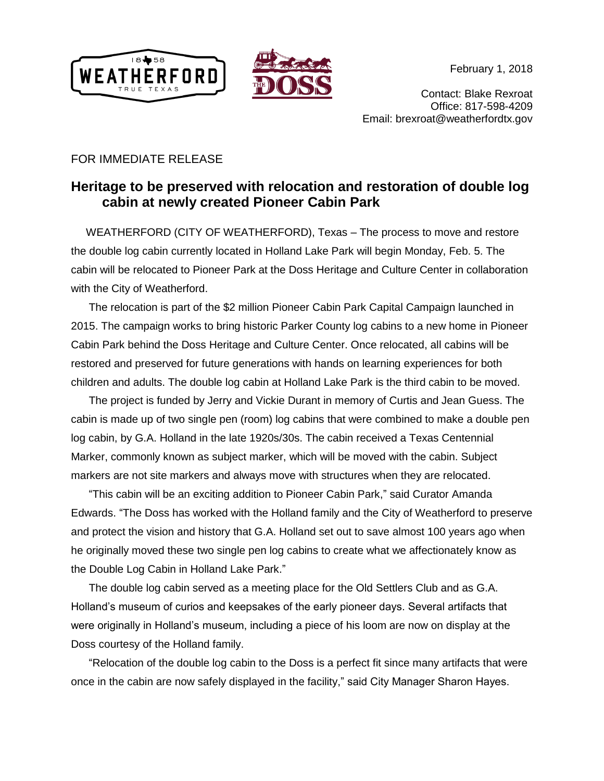



Contact: Blake Rexroat Office: 817-598-4209 Email: brexroat@weatherfordtx.gov

## FOR IMMEDIATE RELEASE

## **Heritage to be preserved with relocation and restoration of double log cabin at newly created Pioneer Cabin Park**

 WEATHERFORD (CITY OF WEATHERFORD), Texas – The process to move and restore the double log cabin currently located in Holland Lake Park will begin Monday, Feb. 5. The cabin will be relocated to Pioneer Park at the Doss Heritage and Culture Center in collaboration with the City of Weatherford.

The relocation is part of the \$2 million Pioneer Cabin Park Capital Campaign launched in 2015. The campaign works to bring historic Parker County log cabins to a new home in Pioneer Cabin Park behind the Doss Heritage and Culture Center. Once relocated, all cabins will be restored and preserved for future generations with hands on learning experiences for both children and adults. The double log cabin at Holland Lake Park is the third cabin to be moved.

The project is funded by Jerry and Vickie Durant in memory of Curtis and Jean Guess. The cabin is made up of two single pen (room) log cabins that were combined to make a double pen log cabin, by G.A. Holland in the late 1920s/30s. The cabin received a Texas Centennial Marker, commonly known as subject marker, which will be moved with the cabin. Subject markers are not site markers and always move with structures when they are relocated.

"This cabin will be an exciting addition to Pioneer Cabin Park," said Curator Amanda Edwards. "The Doss has worked with the Holland family and the City of Weatherford to preserve and protect the vision and history that G.A. Holland set out to save almost 100 years ago when he originally moved these two single pen log cabins to create what we affectionately know as the Double Log Cabin in Holland Lake Park."

The double log cabin served as a meeting place for the Old Settlers Club and as G.A. Holland's museum of curios and keepsakes of the early pioneer days. Several artifacts that were originally in Holland's museum, including a piece of his loom are now on display at the Doss courtesy of the Holland family.

"Relocation of the double log cabin to the Doss is a perfect fit since many artifacts that were once in the cabin are now safely displayed in the facility," said City Manager Sharon Hayes.